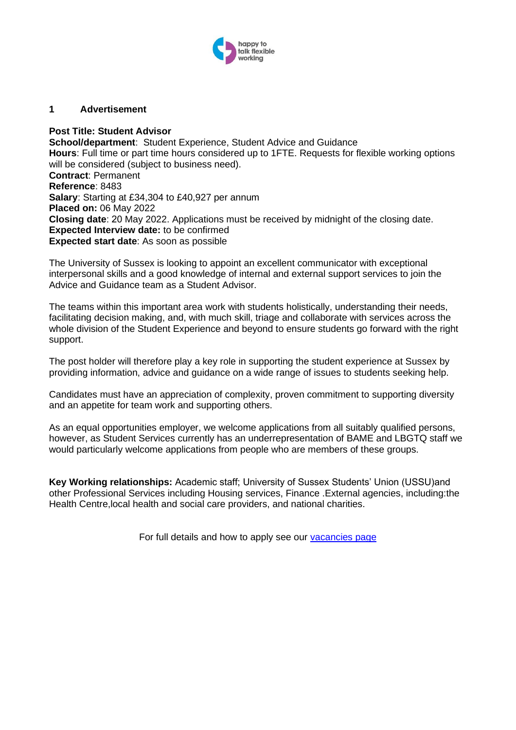

#### **1 Advertisement**

#### **Post Title: Student Advisor**

**School/department**: Student Experience, Student Advice and Guidance **Hours**: Full time or part time hours considered up to 1FTE. Requests for flexible working options will be considered (subject to business need). **Contract**: Permanent **Reference**: 8483 **Salary**: Starting at £34,304 to £40,927 per annum **Placed on:** 06 May 2022 **Closing date**: 20 May 2022. Applications must be received by midnight of the closing date. **Expected Interview date:** to be confirmed **Expected start date**: As soon as possible

The University of Sussex is looking to appoint an excellent communicator with exceptional interpersonal skills and a good knowledge of internal and external support services to join the Advice and Guidance team as a Student Advisor.

The teams within this important area work with students holistically, understanding their needs, facilitating decision making, and, with much skill, triage and collaborate with services across the whole division of the Student Experience and beyond to ensure students go forward with the right support.

The post holder will therefore play a key role in supporting the student experience at Sussex by providing information, advice and guidance on a wide range of issues to students seeking help.

Candidates must have an appreciation of complexity, proven commitment to supporting diversity and an appetite for team work and supporting others.

As an equal opportunities employer, we welcome applications from all suitably qualified persons, however, as Student Services currently has an underrepresentation of BAME and LBGTQ staff we would particularly welcome applications from people who are members of these groups.

**Key Working relationships:** Academic staff; University of Sussex Students' Union (USSU)and other Professional Services including Housing services, Finance .External agencies, including:the Health Centre,local health and social care providers, and national charities.

For full details and how to apply see our [vacancies page](http://www.sussex.ac.uk/about/jobs)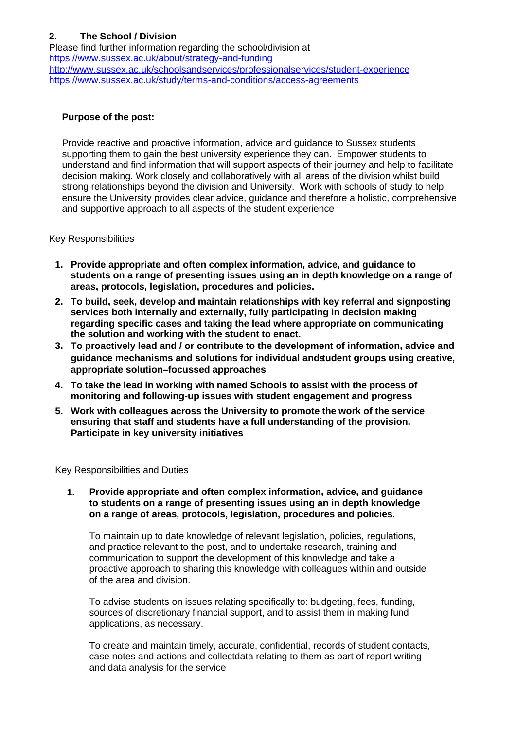# **2. The School / Division**

Please find further information regarding the school/division at <https://www.sussex.ac.uk/about/strategy-and-funding> <http://www.sussex.ac.uk/schoolsandservices/professionalservices/student-experience> <https://www.sussex.ac.uk/study/terms-and-conditions/access-agreements>

### **Purpose of the post:**

Provide reactive and proactive information, advice and guidance to Sussex students supporting them to gain the best university experience they can. Empower students to understand and find information that will support aspects of their journey and help to facilitate decision making. Work closely and collaboratively with all areas of the division whilst build strong relationships beyond the division and University. Work with schools of study to help ensure the University provides clear advice, guidance and therefore a holistic, comprehensive and supportive approach to all aspects of the student experience

#### Key Responsibilities

- **1. Provide appropriate and often complex information, advice, and guidance to students on a range of presenting issues using an in depth knowledge on a range of areas, protocols, legislation, procedures and policies.**
- **2. To build, seek, develop and maintain relationships with key referral and signposting services both internally and externally, fully participating in decision making regarding specific cases and taking the lead where appropriate on communicating the solution and working with the student to enact.**
- **3. To proactively lead and / or contribute to the development of information, advice and guidance mechanisms and solutions for individual andstudent groups using creative, appropriate solution–focussed approaches**
- **4. To take the lead in working with named Schools to assist with the process of monitoring and following-up issues with student engagement and progress**
- **5. Work with colleagues across the University to promote the work of the service ensuring that staff and students have a full understanding of the provision. Participate in key university initiatives**

Key Responsibilities and Duties

**1. Provide appropriate and often complex information, advice, and guidance to students on a range of presenting issues using an in depth knowledge on a range of areas, protocols, legislation, procedures and policies.** 

To maintain up to date knowledge of relevant legislation, policies, regulations, and practice relevant to the post, and to undertake research, training and communication to support the development of this knowledge and take a proactive approach to sharing this knowledge with colleagues within and outside of the area and division.

To advise students on issues relating specifically to: budgeting, fees, funding, sources of discretionary financial support, and to assist them in making fund applications, as necessary.

To create and maintain timely, accurate, confidential, records of student contacts, case notes and actions and collectdata relating to them as part of report writing and data analysis for the service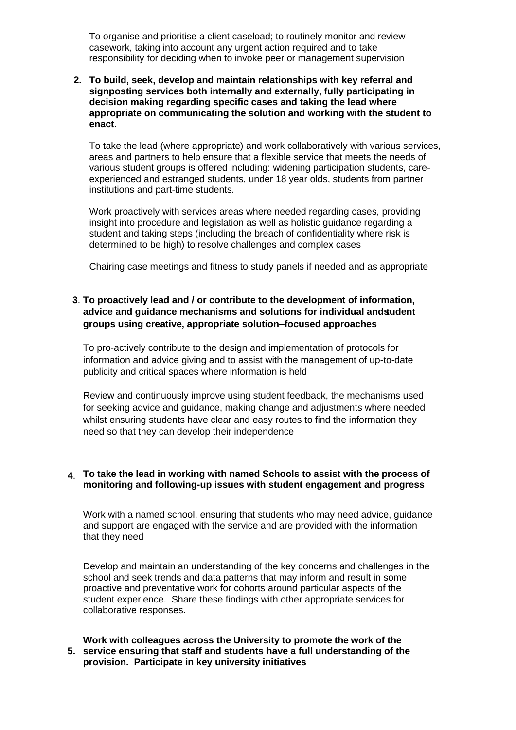To organise and prioritise a client caseload; to routinely monitor and review casework, taking into account any urgent action required and to take responsibility for deciding when to invoke peer or management supervision

**2. To build, seek, develop and maintain relationships with key referral and signposting services both internally and externally, fully participating in decision making regarding specific cases and taking the lead where appropriate on communicating the solution and working with the student to enact.** 

To take the lead (where appropriate) and work collaboratively with various services, areas and partners to help ensure that a flexible service that meets the needs of various student groups is offered including: widening participation students, careexperienced and estranged students, under 18 year olds, students from partner institutions and part-time students.

Work proactively with services areas where needed regarding cases, providing insight into procedure and legislation as well as holistic guidance regarding a student and taking steps (including the breach of confidentiality where risk is determined to be high) to resolve challenges and complex cases

Chairing case meetings and fitness to study panels if needed and as appropriate

### **3**. **To proactively lead and / or contribute to the development of information, advice and guidance mechanisms and solutions for individual andstudent groups using creative, appropriate solution–focused approaches**

To pro-actively contribute to the design and implementation of protocols for information and advice giving and to assist with the management of up-to-date publicity and critical spaces where information is held

Review and continuously improve using student feedback, the mechanisms used for seeking advice and guidance, making change and adjustments where needed whilst ensuring students have clear and easy routes to find the information they need so that they can develop their independence

#### **4**. **To take the lead in working with named Schools to assist with the process of monitoring and following-up issues with student engagement and progress**

Work with a named school, ensuring that students who may need advice, guidance and support are engaged with the service and are provided with the information that they need

Develop and maintain an understanding of the key concerns and challenges in the school and seek trends and data patterns that may inform and result in some proactive and preventative work for cohorts around particular aspects of the student experience. Share these findings with other appropriate services for collaborative responses.

#### **5. service ensuring that staff and students have a full understanding of the Work with colleagues across the University to promote the work of the provision. Participate in key university initiatives**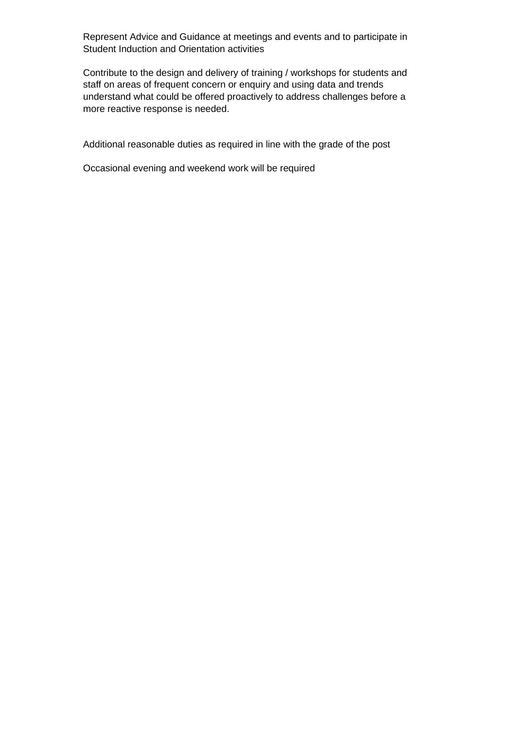Represent Advice and Guidance at meetings and events and to participate in Student Induction and Orientation activities

Contribute to the design and delivery of training / workshops for students and staff on areas of frequent concern or enquiry and using data and trends understand what could be offered proactively to address challenges before a more reactive response is needed.

Additional reasonable duties as required in line with the grade of the post

Occasional evening and weekend work will be required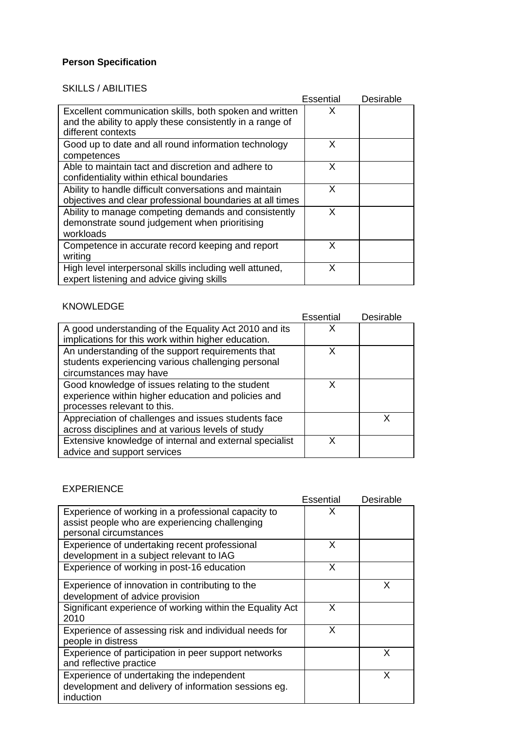## **Person Specification**

# SKILLS / ABILITIES

|                                                           | Essential | Desirable |
|-----------------------------------------------------------|-----------|-----------|
| Excellent communication skills, both spoken and written   | X         |           |
| and the ability to apply these consistently in a range of |           |           |
| different contexts                                        |           |           |
| Good up to date and all round information technology      | X         |           |
| competences                                               |           |           |
| Able to maintain tact and discretion and adhere to        | X         |           |
| confidentiality within ethical boundaries                 |           |           |
| Ability to handle difficult conversations and maintain    | X         |           |
| objectives and clear professional boundaries at all times |           |           |
| Ability to manage competing demands and consistently      | X         |           |
| demonstrate sound judgement when prioritising             |           |           |
| workloads                                                 |           |           |
| Competence in accurate record keeping and report          | X         |           |
| writing                                                   |           |           |
| High level interpersonal skills including well attuned,   | X         |           |
| expert listening and advice giving skills                 |           |           |

# KNOWLEDGE

|                                                         | Essential | Desirable |
|---------------------------------------------------------|-----------|-----------|
| A good understanding of the Equality Act 2010 and its   | х         |           |
| implications for this work within higher education.     |           |           |
| An understanding of the support requirements that       | x         |           |
| students experiencing various challenging personal      |           |           |
| circumstances may have                                  |           |           |
| Good knowledge of issues relating to the student        | x         |           |
| experience within higher education and policies and     |           |           |
| processes relevant to this.                             |           |           |
| Appreciation of challenges and issues students face     |           |           |
| across disciplines and at various levels of study       |           |           |
| Extensive knowledge of internal and external specialist | x         |           |
| advice and support services                             |           |           |

## EXPERIENCE

|                                                                                                                | Essential | Desirable |
|----------------------------------------------------------------------------------------------------------------|-----------|-----------|
| Experience of working in a professional capacity to<br>assist people who are experiencing challenging          |           |           |
| personal circumstances                                                                                         |           |           |
| Experience of undertaking recent professional<br>development in a subject relevant to IAG                      | X         |           |
| Experience of working in post-16 education                                                                     | X         |           |
| Experience of innovation in contributing to the<br>development of advice provision                             |           | x         |
| Significant experience of working within the Equality Act<br>2010                                              | X         |           |
| Experience of assessing risk and individual needs for<br>people in distress                                    | X         |           |
| Experience of participation in peer support networks<br>and reflective practice                                |           | x         |
| Experience of undertaking the independent<br>development and delivery of information sessions eg.<br>induction |           | х         |